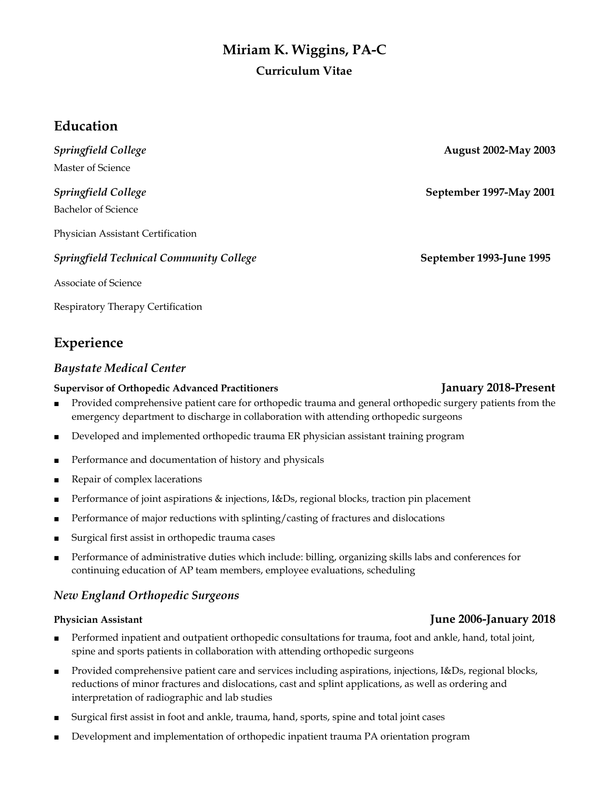# **Miriam K. Wiggins, PA-C Curriculum Vitae**

## **Education**

*Springfield College* **August 2002-May 2003** Master of Science

Bachelor of Science

Physician Assistant Certification

### *Springfield Technical Community College* **September 1993-June 1995**

Associate of Science

Respiratory Therapy Certification

## **Experience**

### *Baystate Medical Center*

### **Supervisor of Orthopedic Advanced Practitioners January 2018-Present**

- Provided comprehensive patient care for orthopedic trauma and general orthopedic surgery patients from the emergency department to discharge in collaboration with attending orthopedic surgeons
- Developed and implemented orthopedic trauma ER physician assistant training program
- Performance and documentation of history and physicals
- Repair of complex lacerations
- Performance of joint aspirations & injections, I&Ds, regional blocks, traction pin placement
- Performance of major reductions with splinting/casting of fractures and dislocations
- Surgical first assist in orthopedic trauma cases
- Performance of administrative duties which include: billing, organizing skills labs and conferences for continuing education of AP team members, employee evaluations, scheduling

## *New England Orthopedic Surgeons*

- Performed inpatient and outpatient orthopedic consultations for trauma, foot and ankle, hand, total joint, spine and sports patients in collaboration with attending orthopedic surgeons
- Provided comprehensive patient care and services including aspirations, injections, I&Ds, regional blocks, reductions of minor fractures and dislocations, cast and splint applications, as well as ordering and interpretation of radiographic and lab studies
- Surgical first assist in foot and ankle, trauma, hand, sports, spine and total joint cases
- Development and implementation of orthopedic inpatient trauma PA orientation program

*Springfield College* **September 1997-May 2001**

## **Physician Assistant June 2006-January 2018**